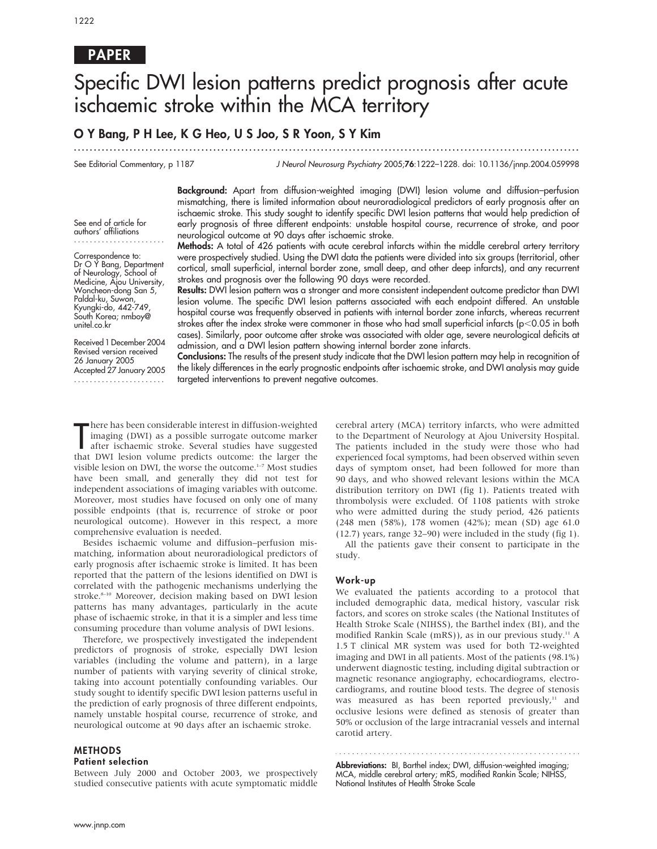## PAPER

# Specific DWI lesion patterns predict prognosis after acute ischaemic stroke within the MCA territory

...............................................................................................................................

## O Y Bang, P H Lee, K G Heo, U S Joo, S R Yoon, S Y Kim

See Editorial Commentary, p 1187

J Neurol Neurosurg Psychiatry 2005;76:1222–1228. doi: 10.1136/jnnp.2004.059998

Background: Apart from diffusion-weighted imaging (DWI) lesion volume and diffusion–perfusion mismatching, there is limited information about neuroradiological predictors of early prognosis after an ischaemic stroke. This study sought to identify specific DWI lesion patterns that would help prediction of early prognosis of three different endpoints: unstable hospital course, recurrence of stroke, and poor neurological outcome at 90 days after ischaemic stroke.

See end of article for authors' affiliations .......................

Correspondence to: Dr O Y Bang, Department of Neurology, School of Medicine, Ajou University, Woncheon-dong San 5, Paldal-ku, Suwon, Kyungki-do, 442-749, South Korea; nmboy@ unitel.co.kr

Received 1 December 2004 Revised version received 26 January 2005 Accepted 27 January 2005 .......................

Methods: A total of 426 patients with acute cerebral infarcts within the middle cerebral artery territory were prospectively studied. Using the DWI data the patients were divided into six groups (territorial, other cortical, small superficial, internal border zone, small deep, and other deep infarcts), and any recurrent strokes and prognosis over the following 90 days were recorded.

Results: DWI lesion pattern was a stronger and more consistent independent outcome predictor than DWI lesion volume. The specific DWI lesion patterns associated with each endpoint differed. An unstable hospital course was frequently observed in patients with internal border zone infarcts, whereas recurrent strokes after the index stroke were commoner in those who had small superficial infarcts ( $p<$  0.05 in both cases). Similarly, poor outcome after stroke was associated with older age, severe neurological deficits at admission, and a DWI lesion pattern showing internal border zone infarcts.

Conclusions: The results of the present study indicate that the DWI lesion pattern may help in recognition of the likely differences in the early prognostic endpoints after ischaemic stroke, and DWI analysis may guide targeted interventions to prevent negative outcomes.

There has been considerable interest in diffusion-weighted<br>
imaging (DWI) as a possible surrogate outcome marker<br>
after ischaemic stroke. Several studies have suggested<br>
that DWI lesion volume predicts outcome: the larger here has been considerable interest in diffusion-weighted imaging (DWI) as a possible surrogate outcome marker after ischaemic stroke. Several studies have suggested visible lesion on DWI, the worse the outcome.<sup>1-7</sup> Most studies have been small, and generally they did not test for independent associations of imaging variables with outcome. Moreover, most studies have focused on only one of many possible endpoints (that is, recurrence of stroke or poor neurological outcome). However in this respect, a more comprehensive evaluation is needed.

Besides ischaemic volume and diffusion–perfusion mismatching, information about neuroradiological predictors of early prognosis after ischaemic stroke is limited. It has been reported that the pattern of the lesions identified on DWI is correlated with the pathogenic mechanisms underlying the stroke.<sup>8-10</sup> Moreover, decision making based on DWI lesion patterns has many advantages, particularly in the acute phase of ischaemic stroke, in that it is a simpler and less time consuming procedure than volume analysis of DWI lesions.

Therefore, we prospectively investigated the independent predictors of prognosis of stroke, especially DWI lesion variables (including the volume and pattern), in a large number of patients with varying severity of clinical stroke, taking into account potentially confounding variables. Our study sought to identify specific DWI lesion patterns useful in the prediction of early prognosis of three different endpoints, namely unstable hospital course, recurrence of stroke, and neurological outcome at 90 days after an ischaemic stroke.

## METHODS

#### Patient selection

Between July 2000 and October 2003, we prospectively studied consecutive patients with acute symptomatic middle cerebral artery (MCA) territory infarcts, who were admitted to the Department of Neurology at Ajou University Hospital. The patients included in the study were those who had experienced focal symptoms, had been observed within seven days of symptom onset, had been followed for more than 90 days, and who showed relevant lesions within the MCA distribution territory on DWI (fig 1). Patients treated with thrombolysis were excluded. Of 1108 patients with stroke who were admitted during the study period, 426 patients (248 men (58%), 178 women (42%); mean (SD) age 61.0 (12.7) years, range 32–90) were included in the study (fig 1).

All the patients gave their consent to participate in the study.

#### Work-up

We evaluated the patients according to a protocol that included demographic data, medical history, vascular risk factors, and scores on stroke scales (the National Institutes of Health Stroke Scale (NIHSS), the Barthel index (BI), and the modified Rankin Scale (mRS)), as in our previous study.<sup>11</sup> A 1.5 T clinical MR system was used for both T2-weighted imaging and DWI in all patients. Most of the patients (98.1%) underwent diagnostic testing, including digital subtraction or magnetic resonance angiography, echocardiograms, electrocardiograms, and routine blood tests. The degree of stenosis was measured as has been reported previously, $11$  and occlusive lesions were defined as stenosis of greater than 50% or occlusion of the large intracranial vessels and internal carotid artery.

Abbreviations: BI, Barthel index; DWI, diffusion-weighted imaging; MCA, middle cerebral artery; mRS, modified Rankin Scale; NIHSS, National Institutes of Health Stroke Scale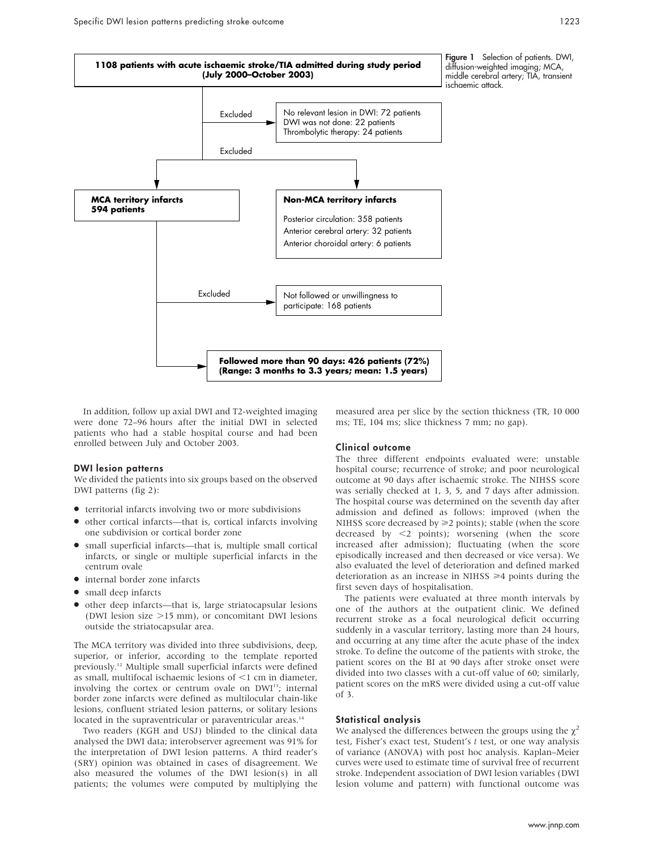

In addition, follow up axial DWI and T2-weighted imaging were done 72–96 hours after the initial DWI in selected patients who had a stable hospital course and had been enrolled between July and October 2003.

#### DWI lesion patterns

We divided the patients into six groups based on the observed DWI patterns (fig 2):

- $\bullet$  territorial infarcts involving two or more subdivisions
- other cortical infarcts—that is, cortical infarcts involving one subdivision or cortical border zone
- small superficial infarcts—that is, multiple small cortical infarcts, or single or multiple superficial infarcts in the centrum ovale
- $\bullet$  internal border zone infarcts
- small deep infarcts
- other deep infarcts—that is, large striatocapsular lesions (DWI lesion size  $>15$  mm), or concomitant DWI lesions outside the striatocapsular area.

The MCA territory was divided into three subdivisions, deep, superior, or inferior, according to the template reported previously.12 Multiple small superficial infarcts were defined as small, multifocal ischaemic lesions of  $\leq$ 1 cm in diameter, involving the cortex or centrum ovale on DWI<sup>13</sup>; internal border zone infarcts were defined as multilocular chain-like lesions, confluent striated lesion patterns, or solitary lesions located in the supraventricular or paraventricular areas.<sup>14</sup>

Two readers (KGH and USJ) blinded to the clinical data analysed the DWI data; interobserver agreement was 91% for the interpretation of DWI lesion patterns. A third reader's (SRY) opinion was obtained in cases of disagreement. We also measured the volumes of the DWI lesion(s) in all patients; the volumes were computed by multiplying the measured area per slice by the section thickness (TR, 10 000 ms; TE, 104 ms; slice thickness 7 mm; no gap).

#### Clinical outcome

The three different endpoints evaluated were: unstable hospital course; recurrence of stroke; and poor neurological outcome at 90 days after ischaemic stroke. The NIHSS score was serially checked at 1, 3, 5, and 7 days after admission. The hospital course was determined on the seventh day after admission and defined as follows: improved (when the NIHSS score decreased by  $\geq$  2 points); stable (when the score decreased by  $\leq$  points); worsening (when the score increased after admission); fluctuating (when the score episodically increased and then decreased or vice versa). We also evaluated the level of deterioration and defined marked deterioration as an increase in NIHSS  $\geq 4$  points during the first seven days of hospitalisation.

The patients were evaluated at three month intervals by one of the authors at the outpatient clinic. We defined recurrent stroke as a focal neurological deficit occurring suddenly in a vascular territory, lasting more than 24 hours, and occurring at any time after the acute phase of the index stroke. To define the outcome of the patients with stroke, the patient scores on the BI at 90 days after stroke onset were divided into two classes with a cut-off value of 60; similarly, patient scores on the mRS were divided using a cut-off value of 3.

#### Statistical analysis

We analysed the differences between the groups using the  $\chi^2$ test, Fisher's exact test, Student's t test, or one way analysis of variance (ANOVA) with post hoc analysis. Kaplan–Meier curves were used to estimate time of survival free of recurrent stroke. Independent association of DWI lesion variables (DWI lesion volume and pattern) with functional outcome was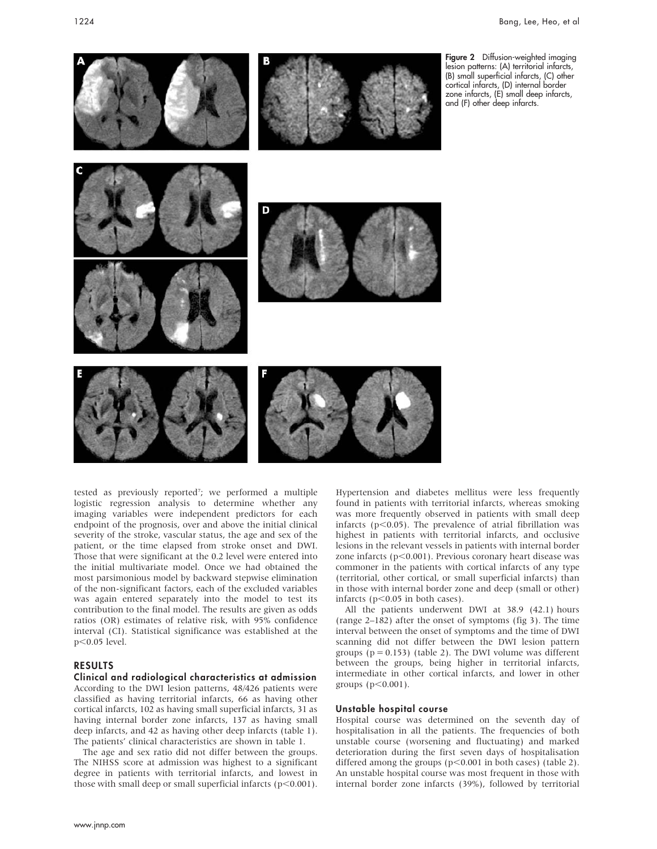

tested as previously reported<sup>7</sup>; we performed a multiple logistic regression analysis to determine whether any imaging variables were independent predictors for each endpoint of the prognosis, over and above the initial clinical severity of the stroke, vascular status, the age and sex of the patient, or the time elapsed from stroke onset and DWI. Those that were significant at the 0.2 level were entered into the initial multivariate model. Once we had obtained the most parsimonious model by backward stepwise elimination of the non-significant factors, each of the excluded variables was again entered separately into the model to test its contribution to the final model. The results are given as odds ratios (OR) estimates of relative risk, with 95% confidence interval (CI). Statistical significance was established at the  $p<0.05$  level.

## RESULTS

#### Clinical and radiological characteristics at admission According to the DWI lesion patterns, 48/426 patients were classified as having territorial infarcts, 66 as having other cortical infarcts, 102 as having small superficial infarcts, 31 as having internal border zone infarcts, 137 as having small deep infarcts, and 42 as having other deep infarcts (table 1). The patients' clinical characteristics are shown in table 1.

The age and sex ratio did not differ between the groups. The NIHSS score at admission was highest to a significant degree in patients with territorial infarcts, and lowest in those with small deep or small superficial infarcts  $(p<0.001)$ . Hypertension and diabetes mellitus were less frequently found in patients with territorial infarcts, whereas smoking was more frequently observed in patients with small deep infarcts ( $p$ <0.05). The prevalence of atrial fibrillation was highest in patients with territorial infarcts, and occlusive lesions in the relevant vessels in patients with internal border zone infarcts ( $p<0.001$ ). Previous coronary heart disease was commoner in the patients with cortical infarcts of any type (territorial, other cortical, or small superficial infarcts) than in those with internal border zone and deep (small or other) infarcts ( $p<0.05$  in both cases).

All the patients underwent DWI at 38.9 (42.1) hours (range 2–182) after the onset of symptoms (fig 3). The time interval between the onset of symptoms and the time of DWI scanning did not differ between the DWI lesion pattern groups ( $p = 0.153$ ) (table 2). The DWI volume was different between the groups, being higher in territorial infarcts, intermediate in other cortical infarcts, and lower in other groups  $(p<0.001)$ .

#### Unstable hospital course

Hospital course was determined on the seventh day of hospitalisation in all the patients. The frequencies of both unstable course (worsening and fluctuating) and marked deterioration during the first seven days of hospitalisation differed among the groups ( $p<0.001$  in both cases) (table 2). An unstable hospital course was most frequent in those with internal border zone infarcts (39%), followed by territorial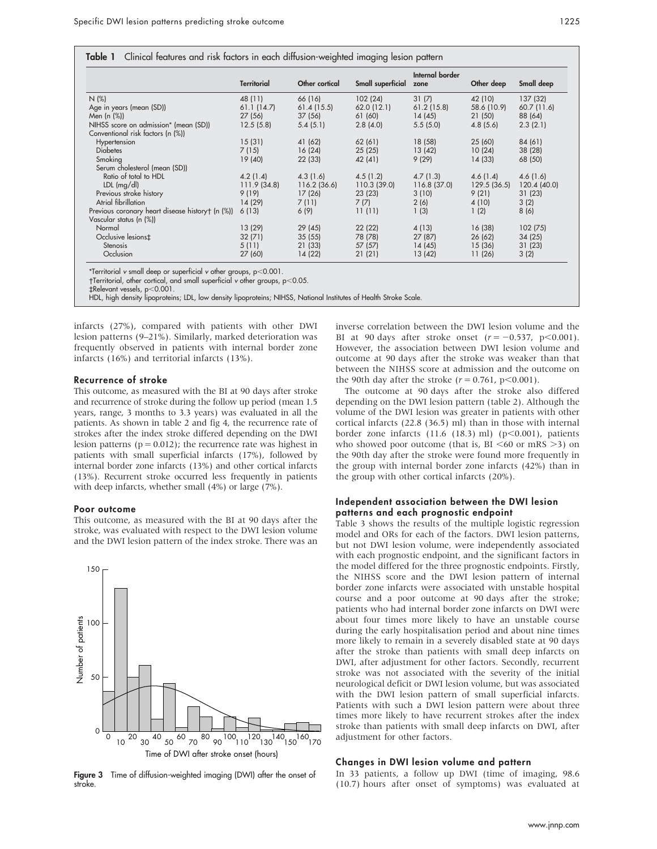Table 1 Clinical features and risk factors in each diffusion-weighted imaging lesion pattern

|                                                  | Territorial | Other cortical | Small superficial | Internal border<br>zone | Other deep  | Small deep  |
|--------------------------------------------------|-------------|----------------|-------------------|-------------------------|-------------|-------------|
| N(%)                                             | 48 (11)     | 66 (16)        | 102(24)           | 31(7)                   | 42 (10)     | 137 (32)    |
| Age in years (mean (SD))                         | 61.1(14.7)  | 61.4(15.5)     | 62.0(12.1)        | 61.2(15.8)              | 58.6 (10.9) | 60.7(11.6)  |
| Men $(n \ (\%))$                                 | 27(56)      | 37(56)         | 61 (60)           | 14(45)                  | 21(50)      | 88 (64)     |
| NIHSS score on admission* (mean (SD))            | 12.5(5.8)   | 5.4(5.1)       | 2.8(4.0)          | 5.5(5.0)                | 4.8(5.6)    | 2.3(2.1)    |
| Conventional risk factors (n (%))                |             |                |                   |                         |             |             |
| Hypertension                                     | 15(31)      | 41 (62)        | 62 (61)           | 18 (58)                 | 25(60)      | 84 (61)     |
| <b>Diabetes</b>                                  | 7(15)       | 16(24)         | 25(25)            | 13(42)                  | 10(24)      | 38 (28)     |
| Smoking                                          | 19 (40)     | 22(33)         | 42 (41)           | 9(29)                   | 14(33)      | 68 (50)     |
| Serum cholesterol (mean (SD))                    |             |                |                   |                         |             |             |
| Ratio of total to HDL                            | 4.2(1.4)    | 4.3(1.6)       | 4.5(1.2)          | 4.7(1.3)                | 4.6(1.4)    | 4.6(1.6)    |
| LDL $(mg/d)$                                     | 111.9(34.8) | 116.2(36.6)    | 110.3(39.0)       | 116.8(37.0)             | 129.5(36.5) | 120.4(40.0) |
| Previous stroke history                          | 9(19)       | 17(26)         | 23(23)            | 3(10)                   | 9(21)       | 31(23)      |
| Atrial fibrillation                              | 14 (29)     | 7(11)          | 7(7)              | 2(6)                    | 4 (10)      | 3(2)        |
| Previous coronary heart disease history† (n (%)) | 6(13)       | 6(9)           | 11(11)            | 1(3)                    | 1(2)        | 8(6)        |
| Vascular status (n (%))                          |             |                |                   |                         |             |             |
| Normal                                           | 13 (29)     | 29(45)         | 22(22)            | 4 (13)                  | 16(38)      | 102(75)     |
| Occlusive lesions <sup>±</sup>                   | 32(71)      | 35(55)         | 78 (78)           | 27 (87)                 | 26(62)      | 34(25)      |
| <b>Stenosis</b>                                  | 5(11)       | 21(33)         | 57 (57)           | 14(45)                  | 15(36)      | 31(23)      |
| Occlusion                                        | 27 (60)     | 14(22)         | 21(21)            | 13(42)                  | 11(26)      | 3(2)        |

 $\uparrow$  Territorial, other cortical, and small superficial v other groups, p $<$ 0.05.

 $\text{\tt tRelevant vessels}, p<0.001.$ 

HDL, high density lipoproteins; LDL, low density lipoproteins; NIHSS, National Institutes of Health Stroke Scale.

infarcts (27%), compared with patients with other DWI lesion patterns (9–21%). Similarly, marked deterioration was frequently observed in patients with internal border zone infarcts (16%) and territorial infarcts (13%).

#### Recurrence of stroke

This outcome, as measured with the BI at 90 days after stroke and recurrence of stroke during the follow up period (mean 1.5 years, range, 3 months to 3.3 years) was evaluated in all the patients. As shown in table 2 and fig 4, the recurrence rate of strokes after the index stroke differed depending on the DWI lesion patterns ( $p = 0.012$ ); the recurrence rate was highest in patients with small superficial infarcts (17%), followed by internal border zone infarcts (13%) and other cortical infarcts (13%). Recurrent stroke occurred less frequently in patients with deep infarcts, whether small (4%) or large (7%).

#### Poor outcome

This outcome, as measured with the BI at 90 days after the stroke, was evaluated with respect to the DWI lesion volume and the DWI lesion pattern of the index stroke. There was an



Figure 3 Time of diffusion-weighted imaging (DWI) after the onset of stroke.

inverse correlation between the DWI lesion volume and the BI at 90 days after stroke onset  $(r = -0.537, p < 0.001)$ . However, the association between DWI lesion volume and outcome at 90 days after the stroke was weaker than that between the NIHSS score at admission and the outcome on the 90th day after the stroke  $(r = 0.761, p < 0.001)$ .

The outcome at 90 days after the stroke also differed depending on the DWI lesion pattern (table 2). Although the volume of the DWI lesion was greater in patients with other cortical infarcts (22.8 (36.5) ml) than in those with internal border zone infarcts (11.6 (18.3) ml) ( $p$ <0.001), patients who showed poor outcome (that is,  $BI \leq 60$  or mRS  $\geq 3$ ) on the 90th day after the stroke were found more frequently in the group with internal border zone infarcts (42%) than in the group with other cortical infarcts (20%).

#### Independent association between the DWI lesion patterns and each prognostic endpoint

Table 3 shows the results of the multiple logistic regression model and ORs for each of the factors. DWI lesion patterns, but not DWI lesion volume, were independently associated with each prognostic endpoint, and the significant factors in the model differed for the three prognostic endpoints. Firstly, the NIHSS score and the DWI lesion pattern of internal border zone infarcts were associated with unstable hospital course and a poor outcome at 90 days after the stroke; patients who had internal border zone infarcts on DWI were about four times more likely to have an unstable course during the early hospitalisation period and about nine times more likely to remain in a severely disabled state at 90 days after the stroke than patients with small deep infarcts on DWI, after adjustment for other factors. Secondly, recurrent stroke was not associated with the severity of the initial neurological deficit or DWI lesion volume, but was associated with the DWI lesion pattern of small superficial infarcts. Patients with such a DWI lesion pattern were about three times more likely to have recurrent strokes after the index stroke than patients with small deep infarcts on DWI, after adjustment for other factors.

#### Changes in DWI lesion volume and pattern

In 33 patients, a follow up DWI (time of imaging, 98.6 (10.7) hours after onset of symptoms) was evaluated at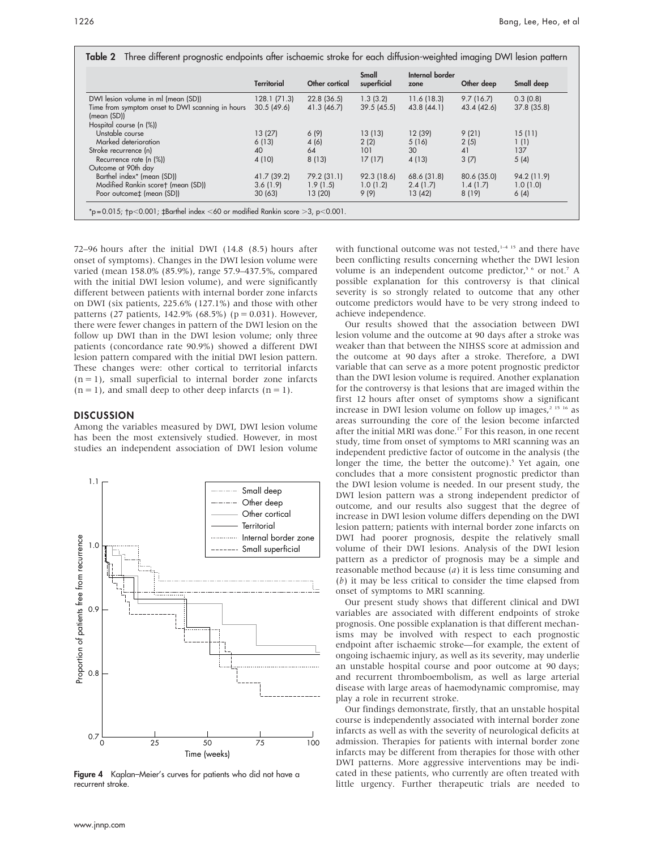|                                                                 | <b>Territorial</b> | Other cortical | Small<br>superficial | Internal border<br>zone | Other deep  | Small deep  |
|-----------------------------------------------------------------|--------------------|----------------|----------------------|-------------------------|-------------|-------------|
| DWI lesion volume in ml (mean (SD))                             | 128.1(71.3)        | 22.8(36.5)     | 1.3(3.2)             | 11.6(18.3)              | 9.7(16.7)   | 0.3(0.8)    |
| Time from symptom onset to DWI scanning in hours<br>(mean (SD)) | 30.5(49.6)         | 41.3 (46.7)    | 39.5(45.5)           | 43.8 (44.1)             | 43.4 (42.6) | 37.8 (35.8) |
| Hospital course (n (%))                                         |                    |                |                      |                         |             |             |
| Unstable course                                                 | 13(27)             | 6(9)           | 13(13)               | 12(39)                  | 9(21)       | 15(11)      |
| Marked deterioration                                            | 6(13)              | 4(6)           | 2(2)                 | 5(16)                   | 2(5)        | 1(1)        |
| Stroke recurrence (n)                                           | 40                 | 64             | 101                  | 30                      | 41          | 137         |
| Recurrence rate (n (%))                                         | 4 (10)             | 8(13)          | 17(17)               | 4(13)                   | 3(7)        | 5(4)        |
| Outcome at 90th day                                             |                    |                |                      |                         |             |             |
| Barthel index* (mean (SD))                                      | 41.7 (39.2)        | 79.2 (31.1)    | 92.3 (18.6)          | 68.6 (31.8)             | 80.6 (35.0) | 94.2 (11.9) |
| Modified Rankin scoret (mean (SD))                              | 3.6(1.9)           | 1.9(1.5)       | 1.0(1.2)             | 2.4(1.7)                | 1.4(1.7)    | 1.0(1.0)    |
| Poor outcome‡ (mean (SD))                                       | 30(63)             | 13 (20)        | 9(9)                 | 13(42)                  | 8(19)       | 6(4)        |

72–96 hours after the initial DWI (14.8 (8.5) hours after onset of symptoms). Changes in the DWI lesion volume were varied (mean 158.0% (85.9%), range 57.9–437.5%, compared with the initial DWI lesion volume), and were significantly different between patients with internal border zone infarcts on DWI (six patients, 225.6% (127.1%) and those with other patterns (27 patients, 142.9% (68.5%) ( $p = 0.031$ ). However, there were fewer changes in pattern of the DWI lesion on the follow up DWI than in the DWI lesion volume; only three patients (concordance rate 90.9%) showed a different DWI lesion pattern compared with the initial DWI lesion pattern. These changes were: other cortical to territorial infarcts  $(n = 1)$ , small superficial to internal border zone infarcts  $(n = 1)$ , and small deep to other deep infarcts  $(n = 1)$ .

#### **DISCUSSION**

Among the variables measured by DWI, DWI lesion volume has been the most extensively studied. However, in most studies an independent association of DWI lesion volume



Figure 4 Kaplan-Meier's curves for patients who did not have a recurrent stroke.

with functional outcome was not tested, $1-4$  15 and there have been conflicting results concerning whether the DWI lesion volume is an independent outcome predictor,<sup>5 6</sup> or not.<sup>7</sup> A possible explanation for this controversy is that clinical severity is so strongly related to outcome that any other outcome predictors would have to be very strong indeed to achieve independence.

Our results showed that the association between DWI lesion volume and the outcome at 90 days after a stroke was weaker than that between the NIHSS score at admission and the outcome at 90 days after a stroke. Therefore, a DWI variable that can serve as a more potent prognostic predictor than the DWI lesion volume is required. Another explanation for the controversy is that lesions that are imaged within the first 12 hours after onset of symptoms show a significant increase in DWI lesion volume on follow up images, $2^{15}$  16 as areas surrounding the core of the lesion become infarcted after the initial MRI was done.<sup>17</sup> For this reason, in one recent study, time from onset of symptoms to MRI scanning was an independent predictive factor of outcome in the analysis (the longer the time, the better the outcome).<sup>5</sup> Yet again, one concludes that a more consistent prognostic predictor than the DWI lesion volume is needed. In our present study, the DWI lesion pattern was a strong independent predictor of outcome, and our results also suggest that the degree of increase in DWI lesion volume differs depending on the DWI lesion pattern; patients with internal border zone infarcts on DWI had poorer prognosis, despite the relatively small volume of their DWI lesions. Analysis of the DWI lesion pattern as a predictor of prognosis may be a simple and reasonable method because (a) it is less time consuming and (b) it may be less critical to consider the time elapsed from onset of symptoms to MRI scanning.

Our present study shows that different clinical and DWI variables are associated with different endpoints of stroke prognosis. One possible explanation is that different mechanisms may be involved with respect to each prognostic endpoint after ischaemic stroke—for example, the extent of ongoing ischaemic injury, as well as its severity, may underlie an unstable hospital course and poor outcome at 90 days; and recurrent thromboembolism, as well as large arterial disease with large areas of haemodynamic compromise, may play a role in recurrent stroke.

Our findings demonstrate, firstly, that an unstable hospital course is independently associated with internal border zone infarcts as well as with the severity of neurological deficits at admission. Therapies for patients with internal border zone infarcts may be different from therapies for those with other DWI patterns. More aggressive interventions may be indicated in these patients, who currently are often treated with little urgency. Further therapeutic trials are needed to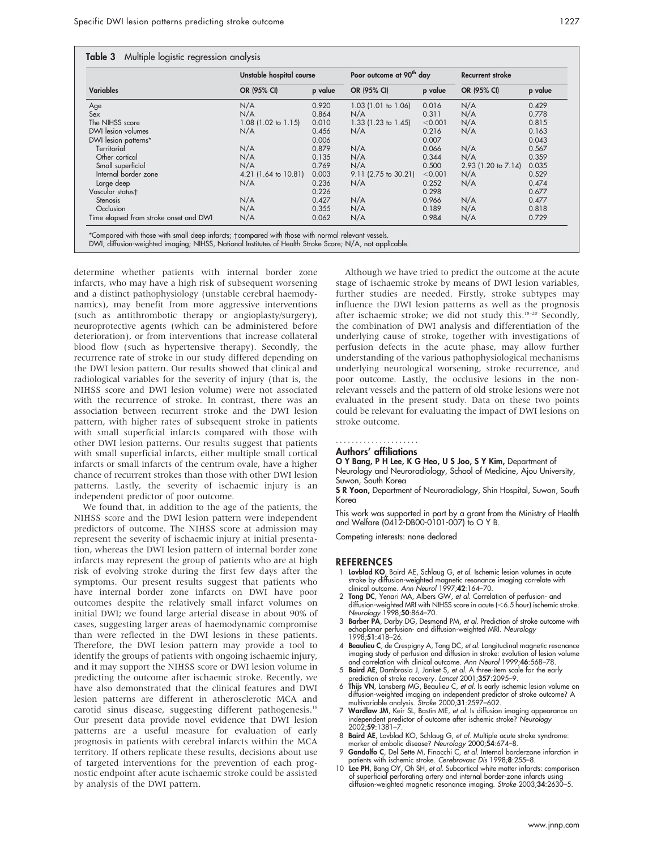| <b>Variables</b>                       | Unstable hospital course |         | Poor outcome at 90 <sup>th</sup> day |         | Recurrent stroke         |         |
|----------------------------------------|--------------------------|---------|--------------------------------------|---------|--------------------------|---------|
|                                        | OR (95% CI)              | p value | OR (95% CI)                          | p value | OR (95% CI)              | p value |
| Age                                    | N/A                      | 0.920   | $1.03$ (1.01 to 1.06)                | 0.016   | N/A                      | 0.429   |
| Sex                                    | N/A                      | 0.864   | N/A                                  | 0.311   | N/A                      | 0.778   |
| The NIHSS score                        | $1.08$ (1.02 to 1.15)    | 0.010   | $1.33$ (1.23 to 1.45)                | < 0.001 | N/A                      | 0.815   |
| DWI lesion volumes                     | N/A                      | 0.456   | N/A                                  | 0.216   | N/A                      | 0.163   |
| DWI lesion patterns*                   |                          | 0.006   |                                      | 0.007   |                          | 0.043   |
| Territorial                            | N/A                      | 0.879   | N/A                                  | 0.066   | N/A                      | 0.567   |
| Other cortical                         | N/A                      | 0.135   | N/A                                  | 0.344   | N/A                      | 0.359   |
| Small superficial                      | N/A                      | 0.769   | N/A                                  | 0.500   | $2.93$ (1.20 to $7.14$ ) | 0.035   |
| Internal border zone                   | 4.21 (1.64 to 10.81)     | 0.003   | $9.11$ (2.75 to 30.21)               | < 0.001 | N/A                      | 0.529   |
| Large deep                             | N/A                      | 0.236   | N/A                                  | 0.252   | N/A                      | 0.474   |
| Vascular status†                       |                          | 0.226   |                                      | 0.298   |                          | 0.677   |
| <b>Stenosis</b>                        | N/A                      | 0.427   | N/A                                  | 0.966   | N/A                      | 0.477   |
| Occlusion                              | N/A                      | 0.355   | N/A                                  | 0.189   | N/A                      | 0.818   |
| Time elapsed from stroke onset and DWI | N/A                      | 0.062   | N/A                                  | 0.984   | N/A                      | 0.729   |

determine whether patients with internal border zone infarcts, who may have a high risk of subsequent worsening and a distinct pathophysiology (unstable cerebral haemodynamics), may benefit from more aggressive interventions (such as antithrombotic therapy or angioplasty/surgery), neuroprotective agents (which can be administered before deterioration), or from interventions that increase collateral blood flow (such as hypertensive therapy). Secondly, the recurrence rate of stroke in our study differed depending on the DWI lesion pattern. Our results showed that clinical and radiological variables for the severity of injury (that is, the NIHSS score and DWI lesion volume) were not associated with the recurrence of stroke. In contrast, there was an association between recurrent stroke and the DWI lesion pattern, with higher rates of subsequent stroke in patients with small superficial infarcts compared with those with other DWI lesion patterns. Our results suggest that patients with small superficial infarcts, either multiple small cortical infarcts or small infarcts of the centrum ovale, have a higher chance of recurrent strokes than those with other DWI lesion patterns. Lastly, the severity of ischaemic injury is an independent predictor of poor outcome.

We found that, in addition to the age of the patients, the NIHSS score and the DWI lesion pattern were independent predictors of outcome. The NIHSS score at admission may represent the severity of ischaemic injury at initial presentation, whereas the DWI lesion pattern of internal border zone infarcts may represent the group of patients who are at high risk of evolving stroke during the first few days after the symptoms. Our present results suggest that patients who have internal border zone infarcts on DWI have poor outcomes despite the relatively small infarct volumes on initial DWI; we found large arterial disease in about 90% of cases, suggesting larger areas of haemodynamic compromise than were reflected in the DWI lesions in these patients. Therefore, the DWI lesion pattern may provide a tool to identify the groups of patients with ongoing ischaemic injury, and it may support the NIHSS score or DWI lesion volume in predicting the outcome after ischaemic stroke. Recently, we have also demonstrated that the clinical features and DWI lesion patterns are different in atherosclerotic MCA and carotid sinus disease, suggesting different pathogenesis.<sup>18</sup> Our present data provide novel evidence that DWI lesion patterns are a useful measure for evaluation of early prognosis in patients with cerebral infarcts within the MCA territory. If others replicate these results, decisions about use of targeted interventions for the prevention of each prognostic endpoint after acute ischaemic stroke could be assisted by analysis of the DWI pattern.

Although we have tried to predict the outcome at the acute stage of ischaemic stroke by means of DWI lesion variables, further studies are needed. Firstly, stroke subtypes may influence the DWI lesion patterns as well as the prognosis after ischaemic stroke; we did not study this.<sup>18-20</sup> Secondly, the combination of DWI analysis and differentiation of the underlying cause of stroke, together with investigations of perfusion defects in the acute phase, may allow further understanding of the various pathophysiological mechanisms underlying neurological worsening, stroke recurrence, and poor outcome. Lastly, the occlusive lesions in the nonrelevant vessels and the pattern of old stroke lesions were not evaluated in the present study. Data on these two points could be relevant for evaluating the impact of DWI lesions on stroke outcome.

#### Authors' affiliations .....................

O Y Bang, P H Lee, K G Heo, U S Joo, S Y Kim, Department of

Neurology and Neuroradiology, School of Medicine, Ajou University, Suwon, South Korea

S R Yoon, Department of Neuroradiology, Shin Hospital, Suwon, South Korea

This work was supported in part by a grant from the Ministry of Health and Welfare  $(0412 - DB00 - 0101 - 007)$  to  $\circ$  Y B.

Competing interests: none declared

#### REFERENCES

- 1 Lovblad KO, Baird AE, Schlaug G, et al. Ischemic lesion volumes in acute stroke by diffusion-weighted magnetic resonance imaging correlate with clinical outcome. Ann Neurol 1997;42:164–70.
- 2 Tong DC, Yenari MA, Albers GW, et al. Correlation of perfusion- and diffusion-weighted MRI with NIHSS score in acute (<6.5 hour) ischemic stroke Neurology 1998;50:864-70.
- 3 Barber PA, Darby DG, Desmond PM, et al. Prediction of stroke outcome with echoplanar perfusion- and diffusion-weighted MRI. *Neurology*<br>1998;**51**:418–26.
- 4 Beaulieu C, de Crespigny A, Tong DC, et al. Longitudinal magnetic resonance imaging study of perfusion and diffusion in stroke: evolution of lesion volume and correlation with clinical outcome. Ann Neurol 1999;46:568–78.
- 5 Baird AE, Dambrosia J, Janket S, et al. A three-item scale for the early
- rediction of stroke recovery. Lancet 2001;357:2095-9.
- 6 Thijs VN, Lansberg MG, Beaulieu C, et al. Is early ischemic lesion volume on diffusion-weighted imaging an independent predictor of stroke outcome? A multivariable analysis. Stroke 2000;31:2597–602.
- 7 Wardlaw JM, Keir SL, Bastin ME, et al. Is diffusion imaging appearance an independent predictor of outcome after ischemic stroke? Neurology 2002;59:1381–7.
- 8 Baird AE, Lovblad KO, Schlaug G, et al. Multiple acute stroke syndrome: marker of embolic disease? Neurology 2000;54:674–8.
- 9 Gandolfo C, Del Sette M, Finocchi C, et al. Internal borderzone infarction in patients with ischemic stroke. Cerebrovasc Dis 1998;8:255–8.<br>10 Lee PH, Bang OY, Oh SH, *et al.* Subcortical white matter infarcts: comparison
- of superficial perforating artery and internal border-zone infarcts using diffusion-weighted magnetic resonance imaging. Stroke 2003;34:2630-5.